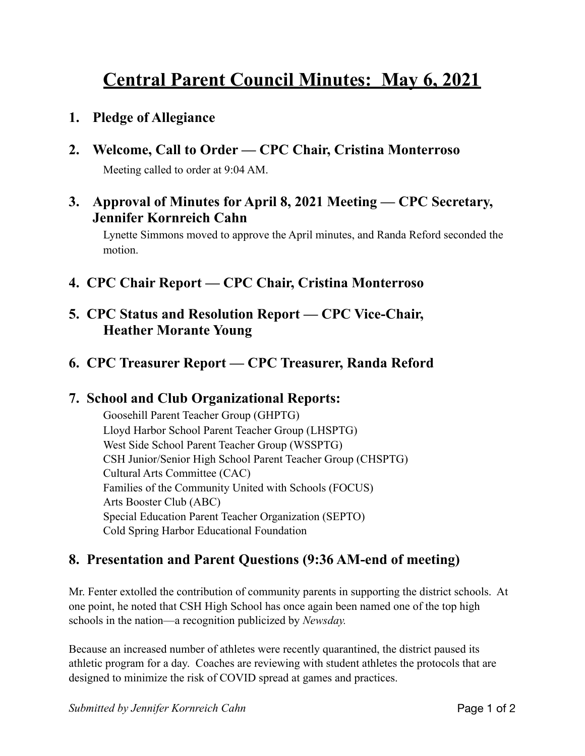# **Central Parent Council Minutes: May 6, 2021**

- **1. Pledge of Allegiance**
- **2. Welcome, Call to Order CPC Chair, Cristina Monterroso**  Meeting called to order at 9:04 AM.
- **3. Approval of Minutes for April 8, 2021 Meeting CPC Secretary, Jennifer Kornreich Cahn**

Lynette Simmons moved to approve the April minutes, and Randa Reford seconded the motion.

- **4. CPC Chair Report CPC Chair, Cristina Monterroso**
- **5. CPC Status and Resolution Report CPC Vice-Chair, Heather Morante Young**
- **6. CPC Treasurer Report CPC Treasurer, Randa Reford**

### **7. School and Club Organizational Reports:**

Goosehill Parent Teacher Group (GHPTG) Lloyd Harbor School Parent Teacher Group (LHSPTG) West Side School Parent Teacher Group (WSSPTG) CSH Junior/Senior High School Parent Teacher Group (CHSPTG) Cultural Arts Committee (CAC) Families of the Community United with Schools (FOCUS) Arts Booster Club (ABC) Special Education Parent Teacher Organization (SEPTO) Cold Spring Harbor Educational Foundation

## **8. Presentation and Parent Questions (9:36 AM-end of meeting)**

Mr. Fenter extolled the contribution of community parents in supporting the district schools. At one point, he noted that CSH High School has once again been named one of the top high schools in the nation—a recognition publicized by *Newsday.*

Because an increased number of athletes were recently quarantined, the district paused its athletic program for a day. Coaches are reviewing with student athletes the protocols that are designed to minimize the risk of COVID spread at games and practices.